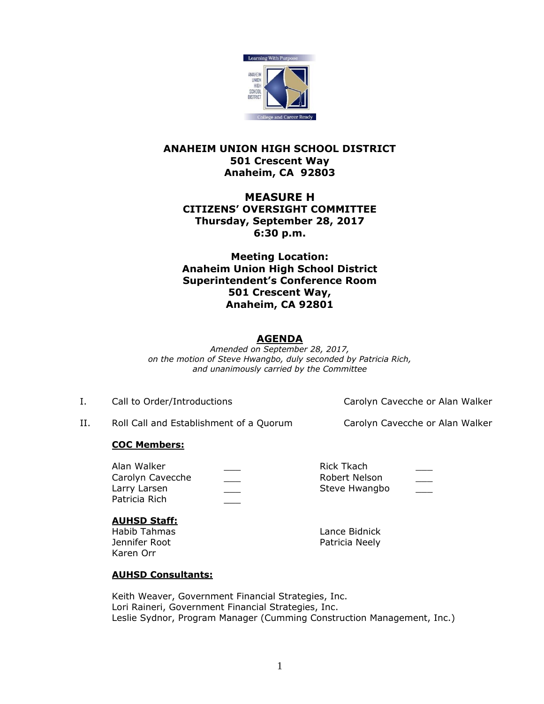

## **ANAHEIM UNION HIGH SCHOOL DISTRICT 501 Crescent Way Anaheim, CA 92803**

# **MEASURE H CITIZENS' OVERSIGHT COMMITTEE Thursday, September 28, 2017 6:30 p.m.**

**Meeting Location: Anaheim Union High School District Superintendent's Conference Room 501 Crescent Way, Anaheim, CA 92801**

## **AGENDA**

*Amended on September 28, 2017, on the motion of Steve Hwangbo, duly seconded by Patricia Rich, and unanimously carried by the Committee*

I. Call to Order/Introductions Carolyn Cavecche or Alan Walker

II. Roll Call and Establishment of a Quorum Carolyn Cavecche or Alan Walker

# **COC Members:**

| Alan Walker      | Rick Tkach    |               |
|------------------|---------------|---------------|
| Carolyn Cavecche | Robert Nelson | $\frac{1}{2}$ |
| Larry Larsen     | Steve Hwangbo |               |
| Patricia Rich    |               |               |

## **AUHSD Staff:**

Habib Tahmas Lance Bidnick Jennifer Root **Patricia Neely** Karen Orr

# **AUHSD Consultants:**

Keith Weaver, Government Financial Strategies, Inc. Lori Raineri, Government Financial Strategies, Inc. Leslie Sydnor, Program Manager (Cumming Construction Management, Inc.)